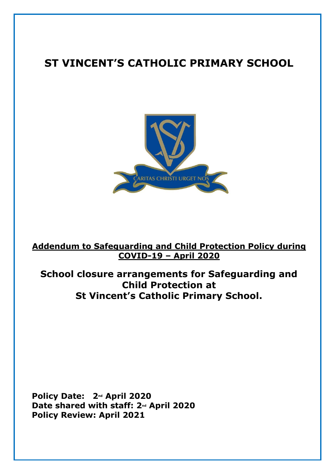# **ST VINCENT'S CATHOLIC PRIMARY SCHOOL**



**Addendum to Safeguarding and Child Protection Policy during COVID-19 – April 2020**

**School closure arrangements for Safeguarding and Child Protection at St Vincent's Catholic Primary School.**

**Policy Date: 2nd April 2020 Date shared with staff: 2nd April 2020 Policy Review: April 2021**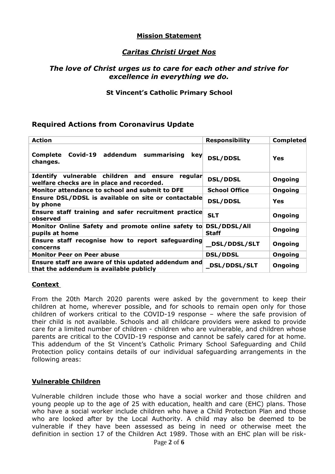## **Mission Statement**

# *Caritas Christi Urget Nos*

#### *The love of Christ urges us to care for each other and strive for excellence in everything we do.*

#### **St Vincent's Catholic Primary School**

## **Required Actions from Coronavirus Update**

| <b>Action</b>                                                                                   | <b>Responsibility</b>               | <b>Completed</b> |
|-------------------------------------------------------------------------------------------------|-------------------------------------|------------------|
| Covid-19 addendum summarising<br><b>Complete</b><br>key<br>changes.                             | <b>DSL/DDSL</b>                     | Yes              |
| Identify vulnerable children and ensure<br>regular<br>welfare checks are in place and recorded. | <b>DSL/DDSL</b>                     | Ongoing          |
| Monitor attendance to school and submit to DFE                                                  | <b>School Office</b>                | Ongoing          |
| Ensure DSL/DDSL is available on site or contactable<br>by phone                                 | <b>DSL/DDSL</b>                     | Yes              |
| Ensure staff training and safer recruitment practice<br>observed                                | <b>SLT</b>                          | Ongoing          |
| Monitor Online Safety and promote online safety to<br>pupils at home                            | <b>DSL/DDSL/All</b><br><b>Staff</b> | Ongoing          |
| Ensure staff recognise how to report safeguarding<br>concerns                                   | <b>DSL/DDSL/SLT</b>                 | Ongoing          |
| <b>Monitor Peer on Peer abuse</b>                                                               | <b>DSL/DDSL</b>                     | Ongoing          |
| Ensure staff are aware of this updated addendum and<br>that the addendum is available publicly  | <b>DSL/DDSL/SLT</b>                 | Ongoing          |

#### **Context**

From the 20th March 2020 parents were asked by the government to keep their children at home, wherever possible, and for schools to remain open only for those children of workers critical to the COVID-19 response – where the safe provision of their child is not available. Schools and all childcare providers were asked to provide care for a limited number of children - children who are vulnerable, and children whose parents are critical to the COVID-19 response and cannot be safely cared for at home. This addendum of the St Vincent's Catholic Primary School Safeguarding and Child Protection policy contains details of our individual safeguarding arrangements in the following areas:

#### **Vulnerable Children**

Vulnerable children include those who have a social worker and those children and young people up to the age of 25 with education, health and care (EHC) plans. Those who have a social worker include children who have a Child Protection Plan and those who are looked after by the Local Authority. A child may also be deemed to be vulnerable if they have been assessed as being in need or otherwise meet the definition in section 17 of the Children Act 1989. Those with an EHC plan will be risk-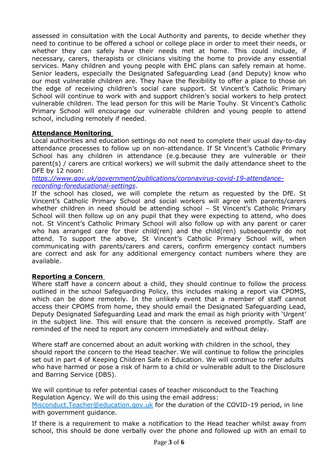assessed in consultation with the Local Authority and parents, to decide whether they need to continue to be offered a school or college place in order to meet their needs, or whether they can safely have their needs met at home. This could include, if necessary, carers, therapists or clinicians visiting the home to provide any essential services. Many children and young people with EHC plans can safely remain at home. Senior leaders, especially the Designated Safeguarding Lead (and Deputy) know who our most vulnerable children are. They have the flexibility to offer a place to those on the edge of receiving children's social care support. St Vincent's Catholic Primary School will continue to work with and support children's social workers to help protect vulnerable children. The lead person for this will be Marie Touhy. St Vincent's Catholic Primary School will encourage our vulnerable children and young people to attend school, including remotely if needed.

## **Attendance Monitoring**

Local authorities and education settings do not need to complete their usual day-to-day attendance processes to follow up on non-attendance. If St Vincent's Catholic Primary School has any children in attendance (e.g.because they are vulnerable or their parent(s) / carers are critical workers) we will submit the daily attendance sheet to the DFE by 12 noon:

*[https://www.gov.uk/government/publications/coronavirus-covid-19-attendance](https://www.gov.uk/government/publications/coronavirus-covid-19-attendance-recording-foreducational-settings)[recording-foreducational-settings](https://www.gov.uk/government/publications/coronavirus-covid-19-attendance-recording-foreducational-settings)*.

If the school has closed, we will complete the return as requested by the DfE. St Vincent's Catholic Primary School and social workers will agree with parents/carers whether children in need should be attending school - St Vincent's Catholic Primary School will then follow up on any pupil that they were expecting to attend, who does not. St Vincent's Catholic Primary School will also follow up with any parent or carer who has arranged care for their child(ren) and the child(ren) subsequently do not attend. To support the above, St Vincent's Catholic Primary School will, when communicating with parents/carers and carers, confirm emergency contact numbers are correct and ask for any additional emergency contact numbers where they are available.

#### **Reporting a Concern**

Where staff have a concern about a child, they should continue to follow the process outlined in the school Safeguarding Policy, this includes making a report via CPOMS, which can be done remotely. In the unlikely event that a member of staff cannot access their CPOMS from home, they should email the Designated Safeguarding Lead, Deputy Designated Safeguarding Lead and mark the email as high priority with 'Urgent' in the subject line. This will ensure that the concern is received promptly. Staff are reminded of the need to report any concern immediately and without delay.

Where staff are concerned about an adult working with children in the school, they should report the concern to the Head teacher. We will continue to follow the principles set out in part 4 of Keeping Children Safe in Education. We will continue to refer adults who have harmed or pose a risk of harm to a child or vulnerable adult to the Disclosure and Barring Service (DBS).

We will continue to refer potential cases of teacher misconduct to the Teaching Regulation Agency. We will do this using the email address: [Misconduct.Teacher@education.gov.uk](mailto:Misconduct.Teacher@education.gov.uk) for the duration of the COVID-19 period, in line with government guidance.

If there is a requirement to make a notification to the Head teacher whilst away from school, this should be done verbally over the phone and followed up with an email to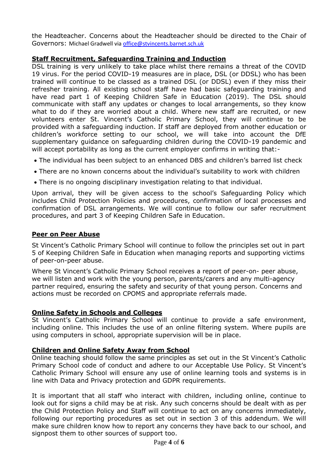the Headteacher. Concerns about the Headteacher should be directed to the Chair of Governors: Michael Gradwell vi[a office@stvincents.barnet.sch.uk](mailto:office@stvincents.barnet.sch.uk)

## **Staff Recruitment, Safeguarding Training and Induction**

DSL training is very unlikely to take place whilst there remains a threat of the COVID 19 virus. For the period COVID-19 measures are in place, DSL (or DDSL) who has been trained will continue to be classed as a trained DSL (or DDSL) even if they miss their refresher training. All existing school staff have had basic safeguarding training and have read part 1 of Keeping Children Safe in Education (2019). The DSL should communicate with staff any updates or changes to local arrangements, so they know what to do if they are worried about a child. Where new staff are recruited, or new volunteers enter St. Vincent's Catholic Primary School, they will continue to be provided with a safeguarding induction. If staff are deployed from another education or children's workforce setting to our school, we will take into account the DfE supplementary guidance on safeguarding children during the COVID-19 pandemic and will accept portability as long as the current employer confirms in writing that:-

- The individual has been subject to an enhanced DBS and children's barred list check
- There are no known concerns about the individual's suitability to work with children
- There is no ongoing disciplinary investigation relating to that individual.

Upon arrival, they will be given access to the school's Safeguarding Policy which includes Child Protection Policies and procedures, confirmation of local processes and confirmation of DSL arrangements. We will continue to follow our safer recruitment procedures, and part 3 of Keeping Children Safe in Education.

## **Peer on Peer Abuse**

St Vincent's Catholic Primary School will continue to follow the principles set out in part 5 of Keeping Children Safe in Education when managing reports and supporting victims of peer-on-peer abuse.

Where St Vincent's Catholic Primary School receives a report of peer-on- peer abuse, we will listen and work with the young person, parents/carers and any multi-agency partner required, ensuring the safety and security of that young person. Concerns and actions must be recorded on CPOMS and appropriate referrals made.

#### **Online Safety in Schools and Colleges**

St Vincent's Catholic Primary School will continue to provide a safe environment, including online. This includes the use of an online filtering system. Where pupils are using computers in school, appropriate supervision will be in place.

## **Children and Online Safety Away from School**

Online teaching should follow the same principles as set out in the St Vincent's Catholic Primary School code of conduct and adhere to our Acceptable Use Policy. St Vincent's Catholic Primary School will ensure any use of online learning tools and systems is in line with Data and Privacy protection and GDPR requirements.

It is important that all staff who interact with children, including online, continue to look out for signs a child may be at risk. Any such concerns should be dealt with as per the Child Protection Policy and Staff will continue to act on any concerns immediately, following our reporting procedures as set out in section 3 of this addendum. We will make sure children know how to report any concerns they have back to our school, and signpost them to other sources of support too.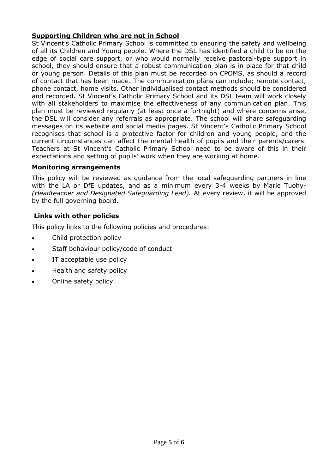## **Supporting Children who are not in School**

St Vincent's Catholic Primary School is committed to ensuring the safety and wellbeing of all its Children and Young people. Where the DSL has identified a child to be on the edge of social care support, or who would normally receive pastoral-type support in school, they should ensure that a robust communication plan is in place for that child or young person. Details of this plan must be recorded on CPOMS, as should a record of contact that has been made. The communication plans can include; remote contact, phone contact, home visits. Other individualised contact methods should be considered and recorded. St Vincent's Catholic Primary School and its DSL team will work closely with all stakeholders to maximise the effectiveness of any communication plan. This plan must be reviewed regularly (at least once a fortnight) and where concerns arise, the DSL will consider any referrals as appropriate. The school will share safeguarding messages on its website and social media pages. St Vincent's Catholic Primary School recognises that school is a protective factor for children and young people, and the current circumstances can affect the mental health of pupils and their parents/carers. Teachers at St Vincent's Catholic Primary School need to be aware of this in their expectations and setting of pupils' work when they are working at home.

#### **Monitoring arrangements**

This policy will be reviewed as guidance from the local safeguarding partners in line with the LA or DfE updates, and as a minimum every 3-4 weeks by Marie Tuohy- *(Headteacher and Designated Safeguarding Lead).* At every review, it will be approved by the full governing board.

#### **Links with other policies**

This policy links to the following policies and procedures:

- Child protection policy
- Staff behaviour policy/code of conduct
- IT acceptable use policy
- Health and safety policy
- Online safety policy